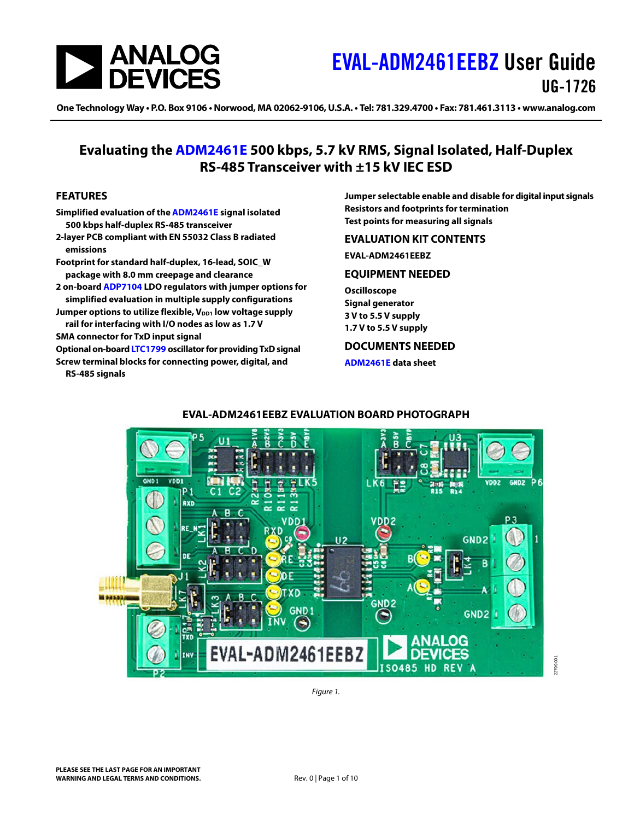

One Technology Way • P.O. Box 9106 • Norwood, MA 02062-9106, U.S.A. • Tel: 781.329.4700 • Fax: 781.461.3113 • www.analog.com

### **Evaluating the [ADM2461E](https://www.analog.com/ADM2461E?doc=EVAL-ADM2461EEBZ-UG-1726.pdf) 500 kbps, 5.7 kV RMS, Signal Isolated, Half-Duplex RS-485 Transceiver with ±15 kV IEC ESD**

#### <span id="page-0-0"></span>**FEATURES**

- **Simplified evaluation of the [ADM2461E](https://www.analog.com/ADM2461E?doc=EVAL-ADM2461EEBZ-UG-1726.pdf) signal isolated 500 kbps half-duplex RS-485 transceiver**
- **2-layer PCB compliant with EN 55032 Class B radiated emissions**
- **Footprint for standard half-duplex, 16-lead, SOIC\_W package with 8.0 mm creepage and clearance**
- **2 on-board [ADP7104](https://www.analog.com/ADP7104?doc=EVAL-ADM2461EEBZ-UG-1726.pdf) LDO regulators with jumper options for simplified evaluation in multiple supply configurations**
- Jumper options to utilize flexible, V<sub>DD1</sub> low voltage supply **rail for interfacing with I/O nodes as low as 1.7 V**

**SMA connector for TxD input signal**

**Optional on-board [LTC1799](https://www.analog.com/LTC1799?doc=EVAL-ADM2461EEBZ-UG-1726.pdf) oscillator for providing TxD signal Screw terminal blocks for connecting power, digital, and** 

<span id="page-0-4"></span>**RS-485 signals**

**Jumper selectable enable and disable for digital input signals Resistors and footprints for termination Test points for measuring all signals**

#### <span id="page-0-1"></span>**EVALUATION KIT CONTENTS**

**EVAL-ADM2461EEBZ**

#### <span id="page-0-2"></span>**EQUIPMENT NEEDED**

**Oscilloscope Signal generator 3 V to 5.5 V supply 1.7 V to 5.5 V supply**

#### <span id="page-0-3"></span>**DOCUMENTS NEEDED**

**[ADM2461E](https://www.analog.com/ADM2461E?doc=EVAL-ADM2461EEBZ-UG-1726.pdf) data sheet**



### **EVAL-ADM2461EEBZ EVALUATION BOARD PHOTOGRAPH**

22799-001

*Figure 1.*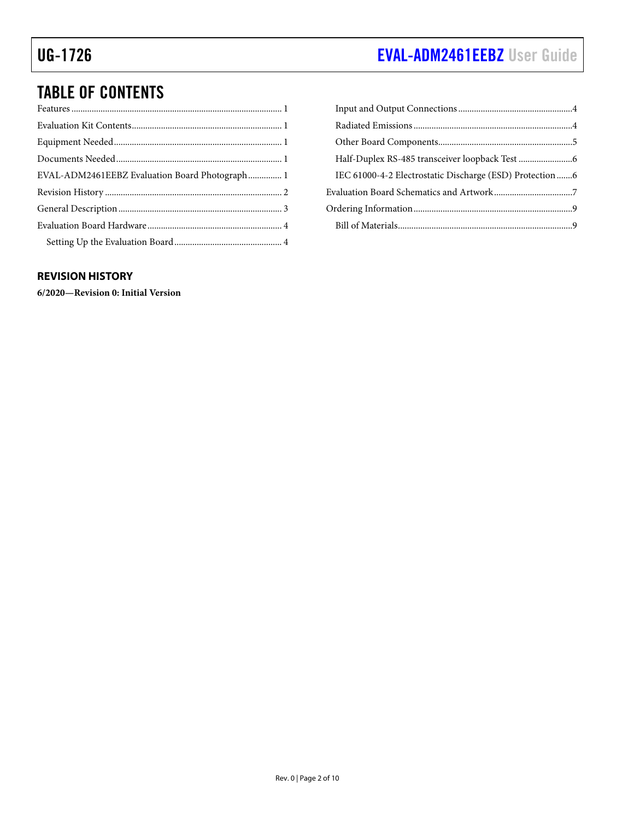# UG-1726 **[EVAL-ADM2461EEBZ](https://www.analog.com/EVAL-ADM2461EEBZ?doc=EVAL-ADM2461EEBZ-UG-1726.pdf)** User Guide

# TABLE OF CONTENTS

| EVAL-ADM2461EEBZ Evaluation Board Photograph 1 |  |
|------------------------------------------------|--|
|                                                |  |
|                                                |  |
|                                                |  |
|                                                |  |

| IEC 61000-4-2 Electrostatic Discharge (ESD) Protection  6 |  |
|-----------------------------------------------------------|--|
|                                                           |  |
|                                                           |  |
|                                                           |  |
|                                                           |  |

#### <span id="page-1-0"></span>**REVISION HISTORY**

**6/2020—Revision 0: Initial Version**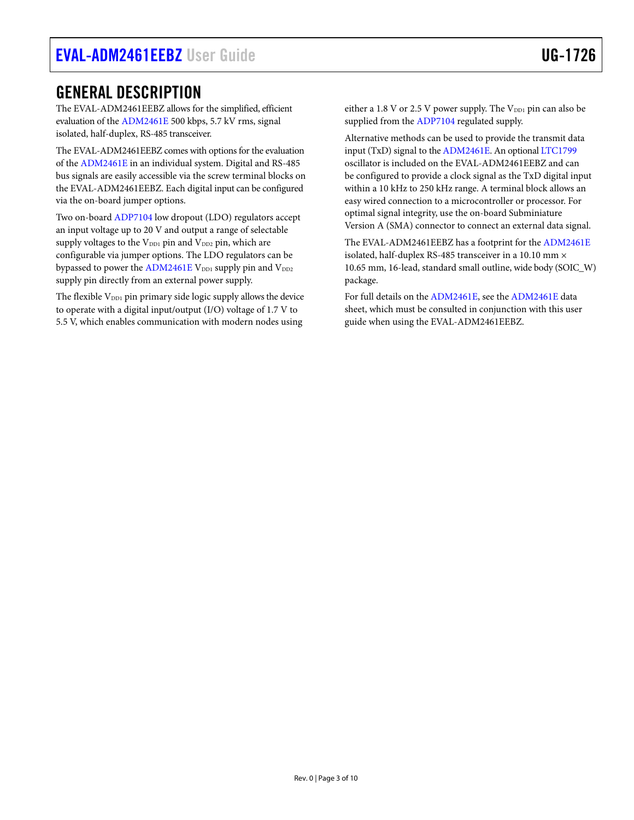## <span id="page-2-0"></span>GENERAL DESCRIPTION

The EVAL-ADM2461EEBZ allows for the simplified, efficient evaluation of th[e ADM2461E](https://www.analog.com/ADM2461E?doc=EVAL-ADM2461EEBZ-UG-1726.pdf) 500 kbps, 5.7 kV rms, signal isolated, half-duplex, RS-485 transceiver.

The EVAL-ADM2461EEBZ comes with options for the evaluation of the [ADM2461E](https://www.analog.com/ADM2461E?doc=EVAL-ADM2461EEBZ-UG-1726.pdf) in an individual system. Digital and RS-485 bus signals are easily accessible via the screw terminal blocks on the EVAL-ADM2461EEBZ. Each digital input can be configured via the on-board jumper options.

Two on-boar[d ADP7104](https://www.analog.com/ADP7104?doc=EVAL-ADM2461EEBZ-UG-1726.pdf) low dropout (LDO) regulators accept an input voltage up to 20 V and output a range of selectable supply voltages to the  $V_{DD1}$  pin and  $V_{DD2}$  pin, which are configurable via jumper options. The LDO regulators can be bypassed to power th[e ADM2461E](https://www.analog.com/ADM2461E?doc=EVAL-ADM2461EEBZ-UG-1726.pdf) V<sub>DD1</sub> supply pin and V<sub>DD2</sub> supply pin directly from an external power supply.

The flexible  $V_{DD1}$  pin primary side logic supply allows the device to operate with a digital input/output (I/O) voltage of 1.7 V to 5.5 V, which enables communication with modern nodes using

either a 1.8 V or 2.5 V power supply. The  $V_{DD1}$  pin can also be supplied from the [ADP7104](https://www.analog.com/ADP7104?doc=EVAL-ADM2461EEBZ-UG-1726.pdf) regulated supply.

Alternative methods can be used to provide the transmit data input (TxD) signal to the [ADM2461E.](https://www.analog.com/ADM2461E?doc=EVAL-ADM2461EEBZ-UG-1726.pdf) An optiona[l LTC1799](https://www.analog.com/LTC1799?doc=EVAL-ADM2461EEBZ-UG-1726.pdf) oscillator is included on the EVAL-ADM2461EEBZ and can be configured to provide a clock signal as the TxD digital input within a 10 kHz to 250 kHz range. A terminal block allows an easy wired connection to a microcontroller or processor. For optimal signal integrity, use the on-board Subminiature Version A (SMA) connector to connect an external data signal.

The EVAL-ADM2461EEBZ has a footprint for the [ADM2461E](https://www.analog.com/ADM2461E?doc=EVAL-ADM2461EEBZ-UG-1726.pdf) isolated, half-duplex RS-485 transceiver in a 10.10 mm × 10.65 mm, 16-lead, standard small outline, wide body (SOIC\_W) package.

For full details on the [ADM2461E,](https://www.analog.com/ADM2461E?doc=EVAL-ADM2461EEBZ-UG-1726.pdf) see the [ADM2461E](https://www.analog.com/ADM2461E?doc=EVAL-ADM2461EEBZ-UG-1726.pdf) data sheet, which must be consulted in conjunction with this user guide when using the EVAL-ADM2461EEBZ.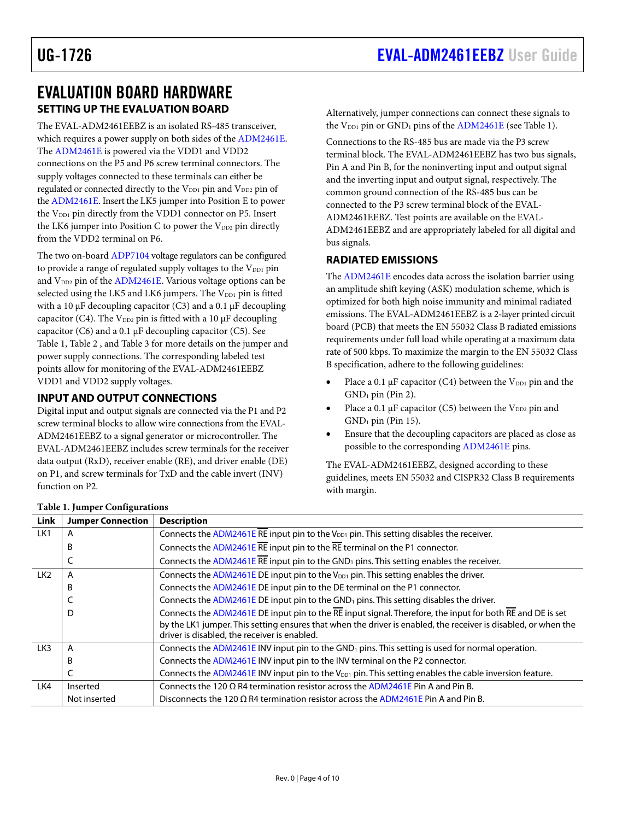### <span id="page-3-0"></span>EVALUATION BOARD HARDWARE **SETTING UP THE EVALUATION BOARD**

<span id="page-3-1"></span>The EVAL-ADM2461EEBZ is an isolated RS-485 transceiver, which requires a power supply on both sides of the [ADM2461E.](https://www.analog.com/ADM2461E?doc=EVAL-ADM2461EEBZ-UG-1726.pdf) The [ADM2461E](https://www.analog.com/ADM2461E?doc=EVAL-ADM2461EEBZ-UG-1726.pdf) is powered via the VDD1 and VDD2 connections on the P5 and P6 screw terminal connectors. The supply voltages connected to these terminals can either be regulated or connected directly to the V<sub>DD1</sub> pin and V<sub>DD2</sub> pin of the [ADM2461E.](https://www.analog.com/ADM2461E?doc=EVAL-ADM2461EEBZ-UG-1726.pdf) Insert the LK5 jumper into Position E to power the V<sub>DD1</sub> pin directly from the VDD1 connector on P5. Insert the LK6 jumper into Position C to power the  $V_{DD2}$  pin directly from the VDD2 terminal on P6.

The two on-boar[d ADP7104](https://www.analog.com/ADP7104?doc=EVAL-ADM2461EEBZ-UG-1726.pdf) voltage regulators can be configured to provide a range of regulated supply voltages to the  $V_{DD1}$  pin and  $V_{DD2}$  pin of th[e ADM2461E.](https://www.analog.com/ADM2461E?doc=EVAL-ADM2461EEBZ-UG-1726.pdf) Various voltage options can be selected using the LK5 and LK6 jumpers. The V<sub>DD1</sub> pin is fitted with a 10  $\mu$ F decoupling capacitor (C3) and a 0.1  $\mu$ F decoupling capacitor (C4). The  $V_{DD2}$  pin is fitted with a 10  $\mu$ F decoupling capacitor (C6) and a 0.1 µF decoupling capacitor (C5). See [Table 1,](#page-3-4) [Table 2](#page-5-2) , an[d Table 3](#page-5-3) for more details on the jumper and power supply connections. The corresponding labeled test points allow for monitoring of the EVAL-ADM2461EEBZ VDD1 and VDD2 supply voltages.

#### <span id="page-3-2"></span>**INPUT AND OUTPUT CONNECTIONS**

Digital input and output signals are connected via the P1 and P2 screw terminal blocks to allow wire connections from the EVAL-ADM2461EEBZ to a signal generator or microcontroller. The EVAL-ADM2461EEBZ includes screw terminals for the receiver data output (RxD), receiver enable (RE), and driver enable (DE) on P1, and screw terminals for TxD and the cable invert (INV) function on P2.

Alternatively, jumper connections can connect these signals to the V<sub>DD1</sub> pin or GND<sub>1</sub> pins of th[e ADM2461E](https://www.analog.com/ADM2461E?doc=EVAL-ADM2461EEBZ-UG-1726.pdf) (see [Table 1\)](#page-3-4).

Connections to the RS-485 bus are made via the P3 screw terminal block. The EVAL-ADM2461EEBZ has two bus signals, Pin A and Pin B, for the noninverting input and output signal and the inverting input and output signal, respectively. The common ground connection of the RS-485 bus can be connected to the P3 screw terminal block of the EVAL-ADM2461EEBZ. Test points are available on the EVAL-ADM2461EEBZ and are appropriately labeled for all digital and bus signals.

#### <span id="page-3-3"></span>**RADIATED EMISSIONS**

The [ADM2461E](https://www.analog.com/ADM2461E?doc=EVAL-ADM2461EEBZ-UG-1726.pdf) encodes data across the isolation barrier using an amplitude shift keying (ASK) modulation scheme, which is optimized for both high noise immunity and minimal radiated emissions. The EVAL-ADM2461EEBZ is a 2-layer printed circuit board (PCB) that meets the EN 55032 Class B radiated emissions requirements under full load while operating at a maximum data rate of 500 kbps. To maximize the margin to the EN 55032 Class B specification, adhere to the following guidelines:

- Place a 0.1  $\mu$ F capacitor (C4) between the V<sub>DD1</sub> pin and the  $GND_1$  pin (Pin 2).
- Place a 0.1  $\mu$ F capacitor (C5) between the V<sub>DD2</sub> pin and  $GND_1$  pin (Pin 15).
- Ensure that the decoupling capacitors are placed as close as possible to the corresponding [ADM2461E](https://www.analog.com/ADM2461E?doc=EVAL-ADM2461EEBZ-UG-1726.pdf) pins.

The EVAL-ADM2461EEBZ, designed according to these guidelines, meets EN 55032 and CISPR32 Class B requirements with margin.

| Link            | <b>Jumper Connection</b> | <b>Description</b>                                                                                                                                             |  |
|-----------------|--------------------------|----------------------------------------------------------------------------------------------------------------------------------------------------------------|--|
| LK1             | А                        | Connects the ADM2461E RE input pin to the $V_{DD1}$ pin. This setting disables the receiver.                                                                   |  |
|                 | B                        | Connects the $ADM2461E$ RE input pin to the RE terminal on the P1 connector.                                                                                   |  |
|                 |                          | Connects the ADM2461E RE input pin to the GND <sub>1</sub> pins. This setting enables the receiver.                                                            |  |
| LK <sub>2</sub> | А                        | Connects the ADM2461E DE input pin to the $V_{DD1}$ pin. This setting enables the driver.                                                                      |  |
|                 | В                        | Connects the ADM2461E DE input pin to the DE terminal on the P1 connector.                                                                                     |  |
|                 |                          | Connects the $ADM2461E$ DE input pin to the $GND_1$ pins. This setting disables the driver.                                                                    |  |
|                 | D                        | Connects the ADM2461E DE input pin to the $RE$ input signal. Therefore, the input for both $RE$ and DE is set                                                  |  |
|                 |                          | by the LK1 jumper. This setting ensures that when the driver is enabled, the receiver is disabled, or when the<br>driver is disabled, the receiver is enabled. |  |
| LK3             | A                        | Connects the ADM2461E INV input pin to the GND <sub>1</sub> pins. This setting is used for normal operation.                                                   |  |
|                 | B                        | Connects the ADM2461E INV input pin to the INV terminal on the P2 connector.                                                                                   |  |
|                 |                          | Connects the ADM2461E INV input pin to the V <sub>DD1</sub> pin. This setting enables the cable inversion feature.                                             |  |
| LK4             | Inserted                 | Connects the 120 $\Omega$ R4 termination resistor across the ADM2461E Pin A and Pin B.                                                                         |  |
|                 | Not inserted             | Disconnects the 120 $\Omega$ R4 termination resistor across the ADM2461E Pin A and Pin B.                                                                      |  |

#### <span id="page-3-4"></span>**Table 1. Jumper Configurations**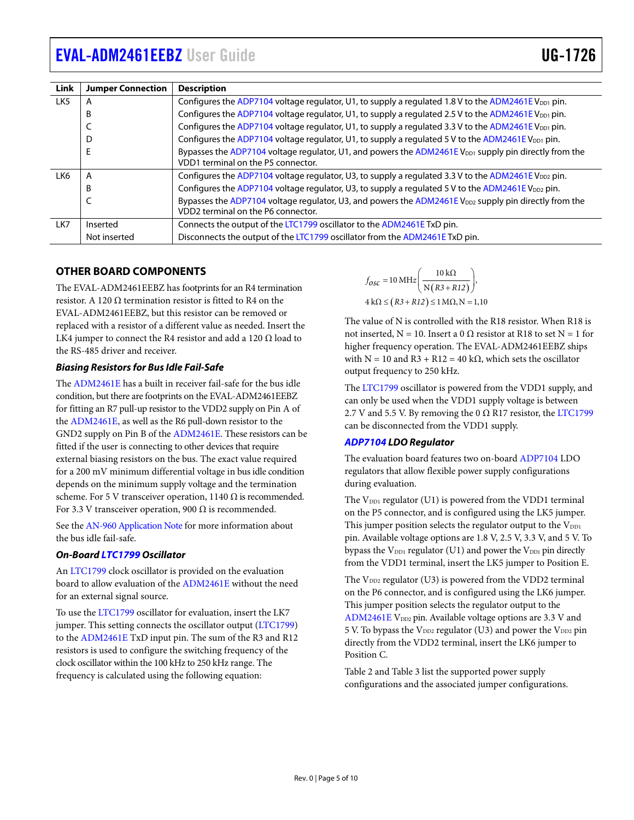| Link | <b>Jumper Connection</b> | <b>Description</b>                                                                                                                                      |  |  |
|------|--------------------------|---------------------------------------------------------------------------------------------------------------------------------------------------------|--|--|
| LK5  | А                        | Configures the ADP7104 voltage regulator, U1, to supply a regulated 1.8 V to the ADM2461E V <sub>DD1</sub> pin.                                         |  |  |
|      | B                        | Configures the ADP7104 voltage regulator, U1, to supply a regulated 2.5 V to the ADM2461E V <sub>DD1</sub> pin.                                         |  |  |
|      |                          | Configures the ADP7104 voltage regulator, U1, to supply a regulated 3.3 V to the ADM2461E V <sub>DD1</sub> pin.                                         |  |  |
|      | D                        | Configures the ADP7104 voltage regulator, U1, to supply a regulated 5 V to the ADM2461E V <sub>DD1</sub> pin.                                           |  |  |
|      | E                        | Bypasses the ADP7104 voltage regulator, U1, and powers the ADM2461E V <sub>DD1</sub> supply pin directly from the<br>VDD1 terminal on the P5 connector. |  |  |
| LK6  | A                        | Configures the ADP7104 voltage regulator, U3, to supply a regulated 3.3 V to the ADM2461E V <sub>DD2</sub> pin.                                         |  |  |
|      | B                        | Configures the ADP7104 voltage regulator, U3, to supply a regulated 5 V to the ADM2461E V <sub>DD2</sub> pin.                                           |  |  |
|      | ╰                        | Bypasses the ADP7104 voltage regulator, U3, and powers the ADM2461E V <sub>DD2</sub> supply pin directly from the<br>VDD2 terminal on the P6 connector. |  |  |
| LK7  | Inserted                 | Connects the output of the LTC1799 oscillator to the ADM2461E TxD pin.                                                                                  |  |  |
|      | Not inserted             | Disconnects the output of the LTC1799 oscillator from the ADM2461E TxD pin.                                                                             |  |  |

#### <span id="page-4-0"></span>**OTHER BOARD COMPONENTS**

The EVAL-ADM2461EEBZ has footprints for an R4 termination resistor. A 120 Ω termination resistor is fitted to R4 on the EVAL-ADM2461EEBZ, but this resistor can be removed or replaced with a resistor of a different value as needed. Insert the LK4 jumper to connect the R4 resistor and add a 120  $\Omega$  load to the RS-485 driver and receiver.

#### *Biasing Resistors for Bus Idle Fail-Safe*

The [ADM2461E](https://www.analog.com/ADM2461E?doc=EVAL-ADM2461EEBZ-UG-1726.pdf) has a built in receiver fail-safe for the bus idle condition, but there are footprints on the EVAL-ADM2461EEBZ for fitting an R7 pull-up resistor to the VDD2 supply on Pin A of the [ADM2461E,](https://www.analog.com/ADM2461E?doc=EVAL-ADM2461EEBZ-UG-1726.pdf) as well as the R6 pull-down resistor to the GND2 supply on Pin B of th[e ADM2461E.](https://www.analog.com/ADM2461E?doc=EVAL-ADM2461EEBZ-UG-1726.pdf) These resistors can be fitted if the user is connecting to other devices that require external biasing resistors on the bus. The exact value required for a 200 mV minimum differential voltage in bus idle condition depends on the minimum supply voltage and the termination scheme. For 5 V transceiver operation, 1140  $\Omega$  is recommended. For 3.3 V transceiver operation, 900  $\Omega$  is recommended.

See the [AN-960 Application Note](https://www.analog.com/media/en/technical-documentation/application-notes/AN-960.pdf?doc=EVAL-ADM2461EEBZ-UG-1726.pdf) for more information about the bus idle fail-safe.

#### *On-Boar[d LTC1799](https://www.analog.com/LTC1799?doc=EVAL-ADM2461EEBZ-UG-1726.pdf) Oscillator*

An [LTC1799](https://www.analog.com/LTC1799?doc=EVAL-ADM2461EEBZ-UG-1726.pdf) clock oscillator is provided on the evaluation board to allow evaluation of th[e ADM2461E](https://www.analog.com/ADM2461E?doc=EVAL-ADM2461EEBZ-UG-1726.pdf) without the need for an external signal source.

To use the [LTC1799](https://www.analog.com/LTC1799?doc=EVAL-ADM2461EEBZ-UG-1726.pdf) oscillator for evaluation, insert the LK7 jumper. This setting connects the oscillator output [\(LTC1799\)](https://www.analog.com/LTC1799?doc=EVAL-ADM2461EEBZ-UG-1726.pdf) to the [ADM2461E](https://www.analog.com/ADM2461E?doc=EVAL-ADM2461EEBZ-UG-1726.pdf) TxD input pin. The sum of the R3 and R12 resistors is used to configure the switching frequency of the clock oscillator within the 100 kHz to 250 kHz range. The frequency is calculated using the following equation:

$$
f_{\text{OSC}} = 10 \text{ MHz} \left( \frac{10 \text{ k}\Omega}{\text{N} \left( R3 + R12 \right)} \right),
$$
  
4 \text{ k}\Omega \le \left( R3 + R12 \right) \le 1 \text{ M}\Omega, \text{N} = 1,10

The value of N is controlled with the R18 resistor. When R18 is not inserted, N = 10. Insert a 0 Ω resistor at R18 to set N = 1 for higher frequency operation. The EVAL-ADM2461EEBZ ships with N = 10 and R3 + R12 = 40 kΩ, which sets the oscillator output frequency to 250 kHz.

The [LTC1799](https://www.analog.com/LTC1799?doc=EVAL-ADM2461EEBZ-UG-1726.pdf) oscillator is powered from the VDD1 supply, and can only be used when the VDD1 supply voltage is between 2.7 V and 5.5 V. By removing the 0  $\Omega$  R17 resistor, th[e LTC1799](https://www.analog.com/LTC1799?doc=EVAL-ADM2461EEBZ-UG-1726.pdf) can be disconnected from the VDD1 supply.

#### *[ADP7104](https://www.analog.com/ADP7104?doc=EVAL-ADM2461EEBZ-UG-1726.pdf) LDO Regulator*

The evaluation board features two on-board [ADP7104](https://www.analog.com/ADP7104?doc=EVAL-ADM2461EEBZ-UG-1726.pdf) LDO regulators that allow flexible power supply configurations during evaluation.

The  $V_{DD1}$  regulator (U1) is powered from the VDD1 terminal on the P5 connector, and is configured using the LK5 jumper. This jumper position selects the regulator output to the VDD1 pin. Available voltage options are 1.8 V, 2.5 V, 3.3 V, and 5 V. To bypass the  $V_{DD1}$  regulator (U1) and power the  $V_{DD1}$  pin directly from the VDD1 terminal, insert the LK5 jumper to Position E.

The  $V_{DD2}$  regulator (U3) is powered from the VDD2 terminal on the P6 connector, and is configured using the LK6 jumper. This jumper position selects the regulator output to the [ADM2461E](https://www.analog.com/ADM2461E?doc=EVAL-ADM2461EEBZ-UG-1726.pdf)  $V_{DD2}$  pin. Available voltage options are 3.3 V and 5 V. To bypass the  $V_{DD2}$  regulator (U3) and power the  $V_{DD2}$  pin directly from the VDD2 terminal, insert the LK6 jumper to Position C.

[Table 2](#page-5-2) an[d Table 3](#page-5-3) list the supported power supply configurations and the associated jumper configurations.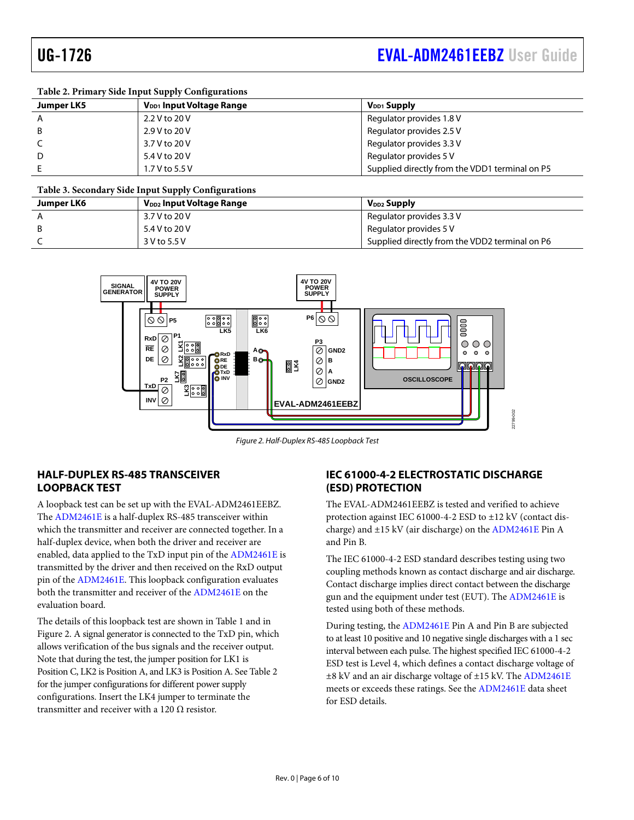#### <span id="page-5-2"></span>**Table 2. Primary Side Input Supply Configurations**

| <b>Jumper LK5</b> | V <sub>DD1</sub> Input Voltage Range | $V_{DD1}$ Supply                               |
|-------------------|--------------------------------------|------------------------------------------------|
| A                 | 2.2 V to 20 V                        | Regulator provides 1.8 V                       |
| B.                | 2.9 V to 20 V                        | Regulator provides 2.5 V                       |
|                   | 3.7 V to 20 V                        | Regulator provides 3.3 V                       |
| D                 | 5.4 V to 20 V                        | Regulator provides 5 V                         |
|                   | 1.7 V to 5.5 V                       | Supplied directly from the VDD1 terminal on P5 |

#### <span id="page-5-3"></span>**Table 3. Secondary Side Input Supply Configurations**

| Jumper LK6 | V <sub>DD2</sub> Input Voltage Range | $V_{DD2}$ Supply                               |
|------------|--------------------------------------|------------------------------------------------|
|            | 3.7 V to 20 V                        | Regulator provides 3.3 V                       |
|            | 5.4 V to 20 V                        | Regulator provides 5 V                         |
|            | 3 V to 5.5 V                         | Supplied directly from the VDD2 terminal on P6 |



*Figure 2. Half-Duplex RS-485 Loopback Test*

#### <span id="page-5-4"></span><span id="page-5-0"></span>**HALF-DUPLEX RS-485 TRANSCEIVER LOOPBACK TEST**

A loopback test can be set up with the EVAL-ADM2461EEBZ. The [ADM2461E](https://www.analog.com/ADM2461E?doc=EVAL-ADM2461EEBZ-UG-1726.pdf) is a half-duplex RS-485 transceiver within which the transmitter and receiver are connected together. In a half-duplex device, when both the driver and receiver are enabled, data applied to the TxD input pin of th[e ADM2461E](https://www.analog.com/ADM2461E?doc=EVAL-ADM2461EEBZ-UG-1726.pdf) is transmitted by the driver and then received on the RxD output pin of th[e ADM2461E.](https://www.analog.com/ADM2461E?doc=EVAL-ADM2461EEBZ-UG-1726.pdf) This loopback configuration evaluates both the transmitter and receiver of the [ADM2461E](https://www.analog.com/ADM2461E?doc=EVAL-ADM2461EEBZ-UG-1726.pdf) on the evaluation board.

The details of this loopback test are shown i[n Table 1](#page-3-4) and in [Figure 2.](#page-5-4) A signal generator is connected to the TxD pin, which allows verification of the bus signals and the receiver output. Note that during the test, the jumper position for LK1 is Position C, LK2 is Position A, and LK3 is Position A. Se[e Table 2](#page-5-2) for the jumper configurations for different power supply configurations. Insert the LK4 jumper to terminate the transmitter and receiver with a 120  $\Omega$  resistor.

### <span id="page-5-1"></span>**IEC 61000-4-2 ELECTROSTATIC DISCHARGE (ESD) PROTECTION**

The EVAL-ADM2461EEBZ is tested and verified to achieve protection against IEC 61000-4-2 ESD to ±12 kV (contact discharge) and ±15 kV (air discharge) on the [ADM2461E](https://www.analog.com/ADM2461E?doc=EVAL-ADM2461EEBZ-UG-1726.pdf) Pin A and Pin B.

The IEC 61000-4-2 ESD standard describes testing using two coupling methods known as contact discharge and air discharge. Contact discharge implies direct contact between the discharge gun and the equipment under test (EUT). The [ADM2461E](https://www.analog.com/ADM2461E?doc=EVAL-ADM2461EEBZ-UG-1726.pdf) is tested using both of these methods.

During testing, the [ADM2461E](https://www.analog.com/ADM2461E?doc=EVAL-ADM2461EEBZ-UG-1726.pdf) Pin A and Pin B are subjected to at least 10 positive and 10 negative single discharges with a 1 sec interval between each pulse. The highest specified IEC 61000-4-2 ESD test is Level 4, which defines a contact discharge voltage of ±8 kV and an air discharge voltage of ±15 kV. The [ADM2461E](https://www.analog.com/ADM2461E?doc=EVAL-ADM2461EEBZ-UG-1726.pdf) meets or exceeds these ratings. See th[e ADM2461E](https://www.analog.com/ADM2461E?doc=EVAL-ADM2461EEBZ-UG-1726.pdf) data sheet for ESD details.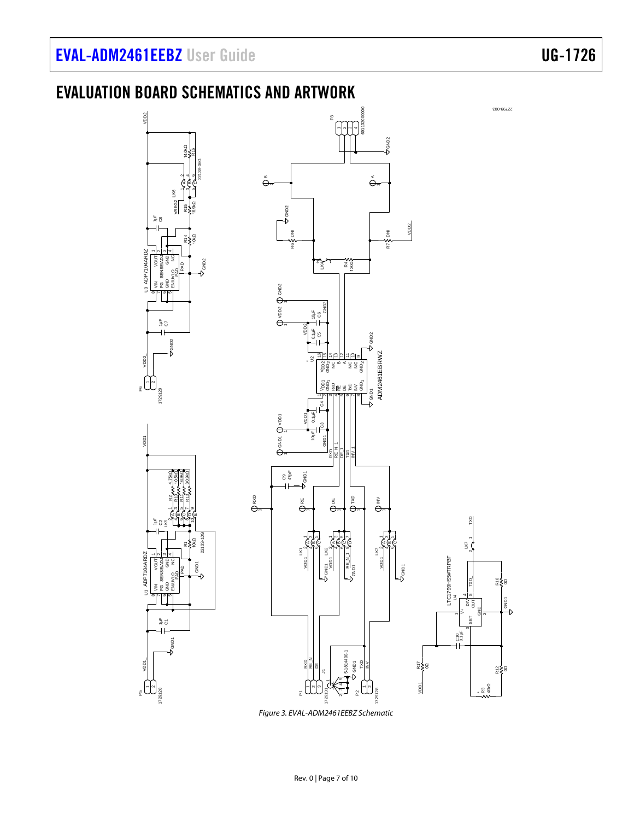# <span id="page-6-0"></span>EVALUATION BOARD SCHEMATICS AND ARTWORK



*Figure 3. EVAL-ADM2461EEBZ Schematic*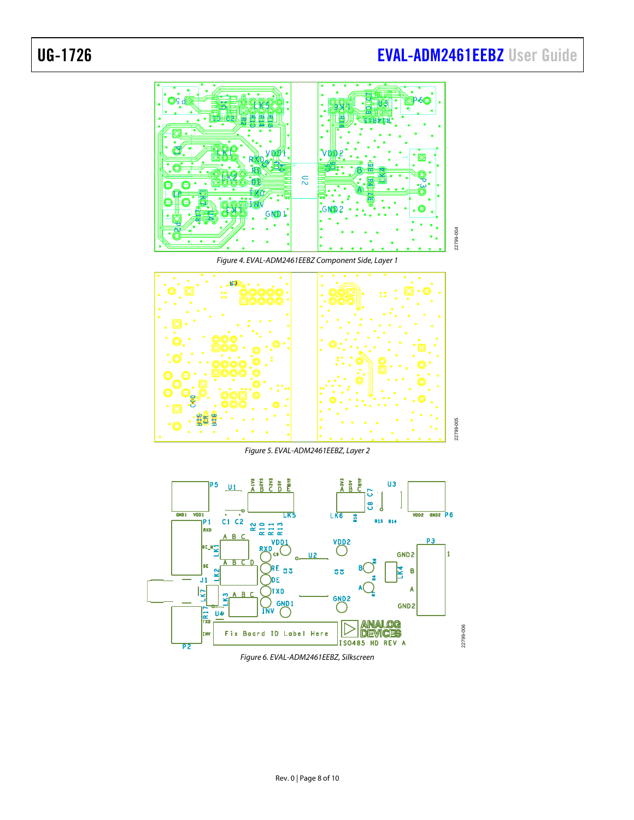# UG-1726 **[EVAL-ADM2461EEBZ](https://www.analog.com/EVAL-ADM2461EEBZ?doc=EVAL-ADM2461EEBZ-UG-1726.pdf)** User Guide





*Figure 6. EVAL-ADM2461EEBZ, Silkscreen*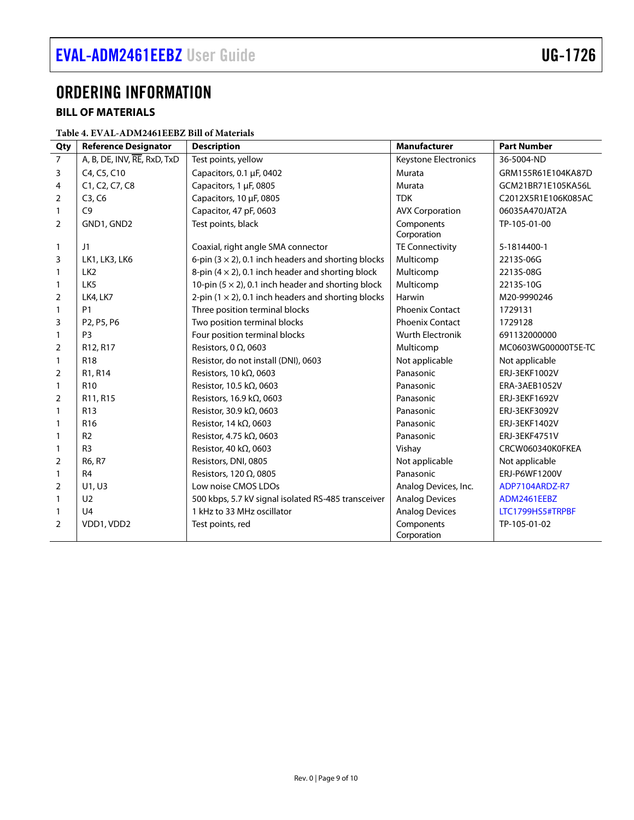## <span id="page-8-0"></span>ORDERING INFORMATION

### <span id="page-8-1"></span>**BILL OF MATERIALS**

| Table 4. EVAL-ADM2461EEBZ Bill of Materials |
|---------------------------------------------|
|---------------------------------------------|

| Qty            | <b>Reference Designator</b>                      | <b>Description</b>                                          | <b>Manufacturer</b>       | <b>Part Number</b>  |
|----------------|--------------------------------------------------|-------------------------------------------------------------|---------------------------|---------------------|
| $\overline{7}$ | A, B, DE, INV, RE, RxD, TxD                      | Test points, yellow                                         | Keystone Electronics      | 36-5004-ND          |
| 3              | C4, C5, C10                                      | Capacitors, 0.1 µF, 0402                                    | Murata                    | GRM155R61E104KA87D  |
| 4              | C1, C2, C7, C8                                   | Capacitors, 1 µF, 0805                                      | Murata                    | GCM21BR71E105KA56L  |
| $\overline{2}$ | C3, C6                                           | Capacitors, 10 µF, 0805                                     | <b>TDK</b>                | C2012X5R1E106K085AC |
| $\mathbf{1}$   | C9                                               | Capacitor, 47 pF, 0603                                      | <b>AVX Corporation</b>    | 06035A470JAT2A      |
| $\overline{2}$ | GND1, GND2                                       | Test points, black                                          | Components<br>Corporation | TP-105-01-00        |
| $\mathbf{1}$   | J1                                               | Coaxial, right angle SMA connector                          | <b>TE Connectivity</b>    | 5-1814400-1         |
| 3              | LK1, LK3, LK6                                    | 6-pin $(3 \times 2)$ , 0.1 inch headers and shorting blocks | Multicomp                 | 2213S-06G           |
| $\mathbf{1}$   | LK <sub>2</sub>                                  | 8-pin $(4 \times 2)$ , 0.1 inch header and shorting block   | Multicomp                 | 2213S-08G           |
| $\mathbf{1}$   | LK <sub>5</sub>                                  | 10-pin $(5 \times 2)$ , 0.1 inch header and shorting block  | Multicomp                 | 2213S-10G           |
| $\overline{2}$ | LK4, LK7                                         | 2-pin $(1 \times 2)$ , 0.1 inch headers and shorting blocks | Harwin                    | M20-9990246         |
| 1              | <b>P1</b>                                        | Three position terminal blocks                              | <b>Phoenix Contact</b>    | 1729131             |
| 3              | P <sub>2</sub> , P <sub>5</sub> , P <sub>6</sub> | Two position terminal blocks                                | <b>Phoenix Contact</b>    | 1729128             |
| $\mathbf{1}$   | P <sub>3</sub>                                   | Four position terminal blocks                               | <b>Wurth Electronik</b>   | 691132000000        |
| $\overline{2}$ | R12, R17                                         | Resistors, 0 $\Omega$ , 0603                                | Multicomp                 | MC0603WG00000T5E-TC |
| $\mathbf{1}$   | <b>R18</b>                                       | Resistor, do not install (DNI), 0603                        | Not applicable            | Not applicable      |
| $\overline{2}$ | R1, R14                                          | Resistors, 10 k $\Omega$ , 0603                             | Panasonic                 | ERJ-3EKF1002V       |
| 1              | R <sub>10</sub>                                  | Resistor, 10.5 kΩ, 0603                                     | Panasonic                 | ERA-3AEB1052V       |
| 2              | R11, R15                                         | Resistors, 16.9 k $\Omega$ , 0603                           | Panasonic                 | ERJ-3EKF1692V       |
| $\mathbf{1}$   | R <sub>13</sub>                                  | Resistor, 30.9 kΩ, 0603                                     | Panasonic                 | ERJ-3EKF3092V       |
| 1              | R <sub>16</sub>                                  | Resistor, 14 k $\Omega$ , 0603                              | Panasonic                 | ERJ-3EKF1402V       |
| 1              | R <sub>2</sub>                                   | Resistor, 4.75 kΩ, 0603                                     | Panasonic                 | ERJ-3EKF4751V       |
| 1              | R <sub>3</sub>                                   | Resistor, 40 k $\Omega$ , 0603                              | Vishay                    | CRCW060340K0FKEA    |
| $\overline{2}$ | R6, R7                                           | Resistors, DNI, 0805                                        | Not applicable            | Not applicable      |
| $\mathbf{1}$   | R <sub>4</sub>                                   | Resistors, 120 $\Omega$ , 0805                              | Panasonic                 | ERJ-P6WF1200V       |
| $\overline{2}$ | U1, U3                                           | Low noise CMOS LDOs                                         | Analog Devices, Inc.      | ADP7104ARDZ-R7      |
| 1              | U <sub>2</sub>                                   | 500 kbps, 5.7 kV signal isolated RS-485 transceiver         | <b>Analog Devices</b>     | ADM2461EEBZ         |
| 1              | U <sub>4</sub>                                   | 1 kHz to 33 MHz oscillator                                  | <b>Analog Devices</b>     | LTC1799HS5#TRPBF    |
| $\overline{2}$ | VDD1, VDD2                                       | Test points, red                                            | Components<br>Corporation | TP-105-01-02        |